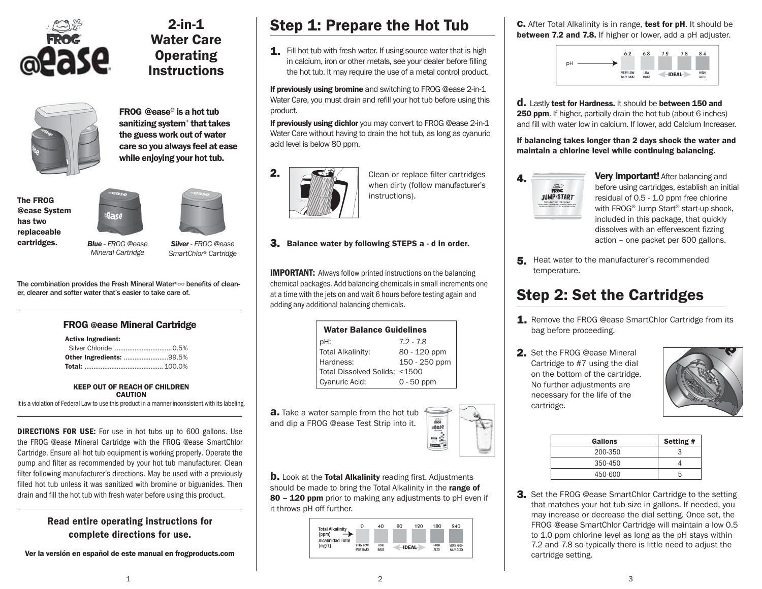

## **2-in-1 Water Care Operating Instructions**



**FROG @ease® is a hot tub sanitizing system+ that takes the guess work out of water care so you always feel at ease while enjoying your hot tub.**



ease *Blue* - FROG @ease



*Silver* - FROG @ease SmartChlor® Cartridge

The combination provides the Fresh Mineral Water<sup>®</sup> benefits of cleaner, clearer and softer water that's easier to take care of.

### **FROG @ease Mineral Cartridge**

#### **Active Ingredient:**

| <b>Other Ingredients: 99.5%</b> |  |
|---------------------------------|--|
|                                 |  |

#### **KEEP OUT OF REACH OF CHILDREN CAUTION**

It is a violation of Federal Law to use this product in a manner inconsistent with its labeling.

**DIRECTIONS FOR USE:** For use in hot tubs up to 600 gallons. Use the FROG @ease Mineral Cartridge with the FROG @ease SmartChlor Cartridge. Ensure all hot tub equipment is working properly. Operate the pump and filter as recommended by your hot tub manufacturer. Clean filter following manufacturer's directions. May be used with a previously filled hot tub unless it was sanitized with bromine or biguanides. Then drain and fill the hot tub with fresh water before using this product.

## **Read entire operating instructions for complete directions for use.**

**Ver la versión en español de este manual en frogproducts.com** 

# **Step 1: Prepare the Hot Tub**

**1.** Fill hot tub with fresh water. If using source water that is high in calcium, iron or other metals, see your dealer before filling the hot tub. It may require the use of a metal control product.

**If previously using bromine** and switching to FROG @ease 2-in-1 Water Care, you must drain and refill your hot tub before using this product.

**If previously using dichlor** you may convert to FROG @ease 2-in-1 Water Care without having to drain the hot tub, as long as cyanuric acid level is below 80 ppm.



- Clean or replace filter cartridges when dirty (follow manufacturer's instructions).
- **3. Balance water by following STEPS a d in order.**

**IMPORTANT:** Always follow printed instructions on the balancing chemical packages. Add balancing chemicals in small increments one at a time with the jets on and wait 6 hours before testing again and adding any additional balancing chemicals.

| <b>Water Balance Guidelines</b> |               |  |
|---------------------------------|---------------|--|
| pH:                             | $7.2 - 7.8$   |  |
| <b>Total Alkalinity:</b>        | 80 - 120 ppm  |  |
| Hardness:                       | 150 - 250 ppm |  |
| Total Dissolved Solids: <1500   |               |  |
| Cyanuric Acid:                  | $0 - 50$ ppm  |  |

**a.** Take a water sample from the hot tub and dip a FROG @ease Test Strip into it.



**b.** Look at the **Total Alkalinity** reading first. Adjustments should be made to bring the Total Alkalinity in the **range of 80 – 120 ppm** prior to making any adjustments to pH even if it throws pH off further.



**c.** After Total Alkalinity is in range, **test for pH**. It should be **between 7.2 and 7.8.** If higher or lower, add a pH adjuster.



**d.** Lastly **test for Hardness.** It should be **between 150 and 250 ppm**. If higher, partially drain the hot tub (about 6 inches) and fill with water low in calcium. If lower, add Calcium Increaser.

**If balancing takes longer than 2 days shock the water and maintain a chlorine level while continuing balancing.**



**Very Important!** After balancing and before using cartridges, establish an initial residual of 0.5 - 1.0 ppm free chlorine with FROG<sup>®</sup> Jump Start<sup>®</sup> start-up shock, included in this package, that quickly dissolves with an effervescent fizzing action – one packet per 600 gallons.

**5.** Heat water to the manufacturer's recommended temperature.

# **Step 2: Set the Cartridges**

- **1.** Remove the FROG @ease SmartChlor Cartridge from its bag before proceeding.
- **2.** Set the FROG @ease Mineral Cartridge to #7 using the dial on the bottom of the cartridge. No further adjustments are necessary for the life of the cartridge.



| Gallons | Setting # |
|---------|-----------|
| 200-350 |           |
| 350-450 |           |
| 450-600 | n         |

**3.** Set the FROG @ease SmartChlor Cartridge to the setting that matches your hot tub size in gallons. If needed, you may increase or decrease the dial setting. Once set, the FROG @ease SmartChlor Cartridge will maintain a low 0.5 to 1.0 ppm chlorine level as long as the pH stays within 7.2 and 7.8 so typically there is little need to adjust the cartridge setting.